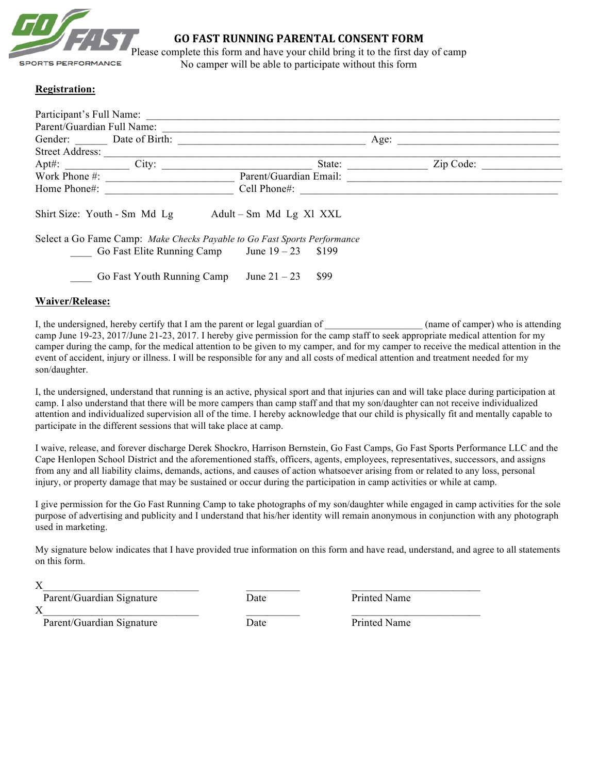

## **GO FAST RUNNING PARENTAL CONSENT FORM**

Please complete this form and have your child bring it to the first day of camp No camper will be able to participate without this form

## **Registration:**

| Participant's Full Name:<br>Parent/Guardian Full Name:                   |                                               |                        |        |  |           |  |  |  |
|--------------------------------------------------------------------------|-----------------------------------------------|------------------------|--------|--|-----------|--|--|--|
| Gender: Date of Birth:                                                   |                                               | Age:                   |        |  |           |  |  |  |
| <b>Street Address:</b>                                                   |                                               |                        |        |  |           |  |  |  |
| $Apt\#$ :                                                                | City:                                         |                        | State: |  | Zip Code: |  |  |  |
| Work Phone $\#$ :                                                        |                                               | Parent/Guardian Email: |        |  |           |  |  |  |
| Home Phone#:                                                             |                                               | Cell Phone#:           |        |  |           |  |  |  |
| Shirt Size: Youth - Sm Md Lg<br>$Adult-Sm$ Md Lg Xl XXL                  |                                               |                        |        |  |           |  |  |  |
| Select a Go Fame Camp: Make Checks Payable to Go Fast Sports Performance |                                               |                        |        |  |           |  |  |  |
|                                                                          | Go Fast Elite Running Camp June $19-23$ \$199 |                        |        |  |           |  |  |  |
|                                                                          | Go Fast Youth Running Camp                    | June $21 - 23$         | \$99   |  |           |  |  |  |

## **Waiver/Release:**

I, the undersigned, hereby certify that I am the parent or legal guardian of \_\_\_\_\_\_\_\_\_\_\_\_\_\_\_\_\_\_ (name of camper) who is attending camp June 19-23, 2017/June 21-23, 2017. I hereby give permission for the camp staff to seek appropriate medical attention for my camper during the camp, for the medical attention to be given to my camper, and for my camper to receive the medical attention in the event of accident, injury or illness. I will be responsible for any and all costs of medical attention and treatment needed for my son/daughter.

I, the undersigned, understand that running is an active, physical sport and that injuries can and will take place during participation at camp. I also understand that there will be more campers than camp staff and that my son/daughter can not receive individualized attention and individualized supervision all of the time. I hereby acknowledge that our child is physically fit and mentally capable to participate in the different sessions that will take place at camp.

I waive, release, and forever discharge Derek Shockro, Harrison Bernstein, Go Fast Camps, Go Fast Sports Performance LLC and the Cape Henlopen School District and the aforementioned staffs, officers, agents, employees, representatives, successors, and assigns from any and all liability claims, demands, actions, and causes of action whatsoever arising from or related to any loss, personal injury, or property damage that may be sustained or occur during the participation in camp activities or while at camp.

I give permission for the Go Fast Running Camp to take photographs of my son/daughter while engaged in camp activities for the sole purpose of advertising and publicity and I understand that his/her identity will remain anonymous in conjunction with any photograph used in marketing.

My signature below indicates that I have provided true information on this form and have read, understand, and agree to all statements on this form.

| Parent/Guardian Signature | Date | Printed Name |  |
|---------------------------|------|--------------|--|
|                           |      |              |  |

Parent/Guardian Signature Date Date Printed Name